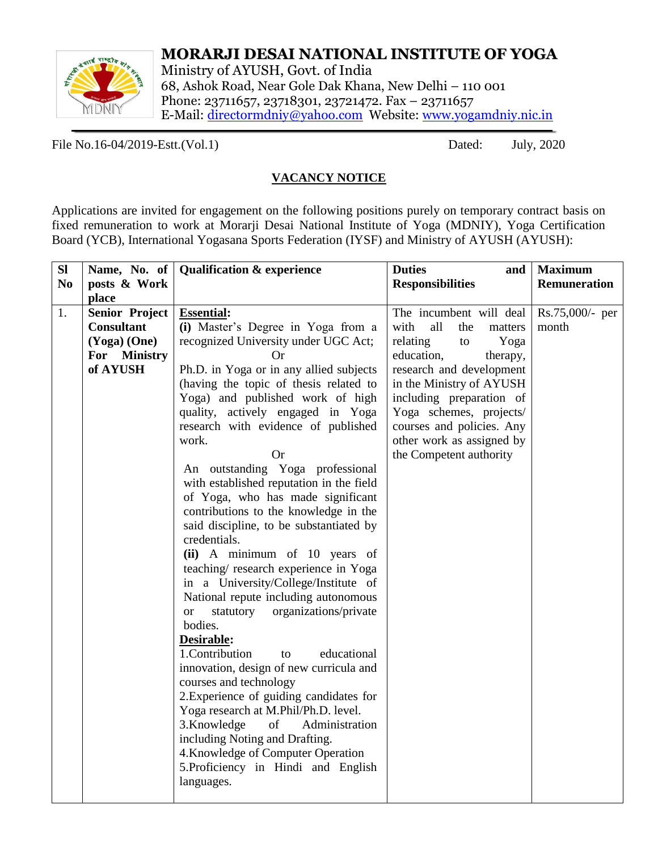

# **MORARJI DESAI NATIONAL INSTITUTE OF YOGA**

Ministry of AYUSH, Govt. of India 68, Ashok Road, Near Gole Dak Khana, New Delhi – 110 001 Phone: 23711657, 23718301, 23721472. Fax – 23711657 E-Mail: [directormdniy@yahoo.com](mailto:directormdniy@yahoo.com) Website: [www.yogamdniy.nic.in](http://www.yogamdniy.nic.in/)

File No.16-04/2019-Estt.(Vol.1) Dated: July, 2020

### **VACANCY NOTICE**

Applications are invited for engagement on the following positions purely on temporary contract basis on fixed remuneration to work at Morarji Desai National Institute of Yoga (MDNIY), Yoga Certification Board (YCB), International Yogasana Sports Federation (IYSF) and Ministry of AYUSH (AYUSH):

| SI             |                       | Name, No. of   Qualification $\&$ experience                              | <b>Duties</b><br>and          | <b>Maximum</b>      |
|----------------|-----------------------|---------------------------------------------------------------------------|-------------------------------|---------------------|
| N <sub>0</sub> | posts & Work          |                                                                           | <b>Responsibilities</b>       | <b>Remuneration</b> |
|                | place                 |                                                                           |                               |                     |
| 1.             | <b>Senior Project</b> | <b>Essential:</b>                                                         | The incumbent will deal       | $Rs.75,000/-$ per   |
|                | <b>Consultant</b>     | (i) Master's Degree in Yoga from a                                        | with<br>all<br>the<br>matters | month               |
|                | $(Yoga)$ (One)        | recognized University under UGC Act;                                      | relating<br>Yoga<br>to        |                     |
|                | For Ministry          | Or                                                                        | education,<br>therapy,        |                     |
|                | of AYUSH              | Ph.D. in Yoga or in any allied subjects                                   | research and development      |                     |
|                |                       | (having the topic of thesis related to                                    | in the Ministry of AYUSH      |                     |
|                |                       | Yoga) and published work of high                                          | including preparation of      |                     |
|                |                       | quality, actively engaged in Yoga                                         | Yoga schemes, projects/       |                     |
|                |                       | research with evidence of published                                       | courses and policies. Any     |                     |
|                |                       | work.                                                                     | other work as assigned by     |                     |
|                |                       | <b>Or</b>                                                                 | the Competent authority       |                     |
|                |                       | An outstanding Yoga professional                                          |                               |                     |
|                |                       | with established reputation in the field                                  |                               |                     |
|                |                       | of Yoga, who has made significant                                         |                               |                     |
|                |                       | contributions to the knowledge in the                                     |                               |                     |
|                |                       | said discipline, to be substantiated by                                   |                               |                     |
|                |                       | credentials.                                                              |                               |                     |
|                |                       | (ii) A minimum of 10 years of                                             |                               |                     |
|                |                       | teaching/research experience in Yoga                                      |                               |                     |
|                |                       | in a University/College/Institute of                                      |                               |                     |
|                |                       | National repute including autonomous                                      |                               |                     |
|                |                       | organizations/private<br>statutory<br><b>or</b>                           |                               |                     |
|                |                       | bodies.                                                                   |                               |                     |
|                |                       | Desirable:                                                                |                               |                     |
|                |                       | 1.Contribution<br>educational<br>to                                       |                               |                     |
|                |                       | innovation, design of new curricula and                                   |                               |                     |
|                |                       | courses and technology                                                    |                               |                     |
|                |                       | 2. Experience of guiding candidates for                                   |                               |                     |
|                |                       | Yoga research at M.Phil/Ph.D. level.<br><sub>of</sub>                     |                               |                     |
|                |                       | 3.Knowledge<br>Administration<br>including Noting and Drafting.           |                               |                     |
|                |                       |                                                                           |                               |                     |
|                |                       | 4. Knowledge of Computer Operation<br>5. Proficiency in Hindi and English |                               |                     |
|                |                       |                                                                           |                               |                     |
|                |                       | languages.                                                                |                               |                     |
|                |                       |                                                                           |                               |                     |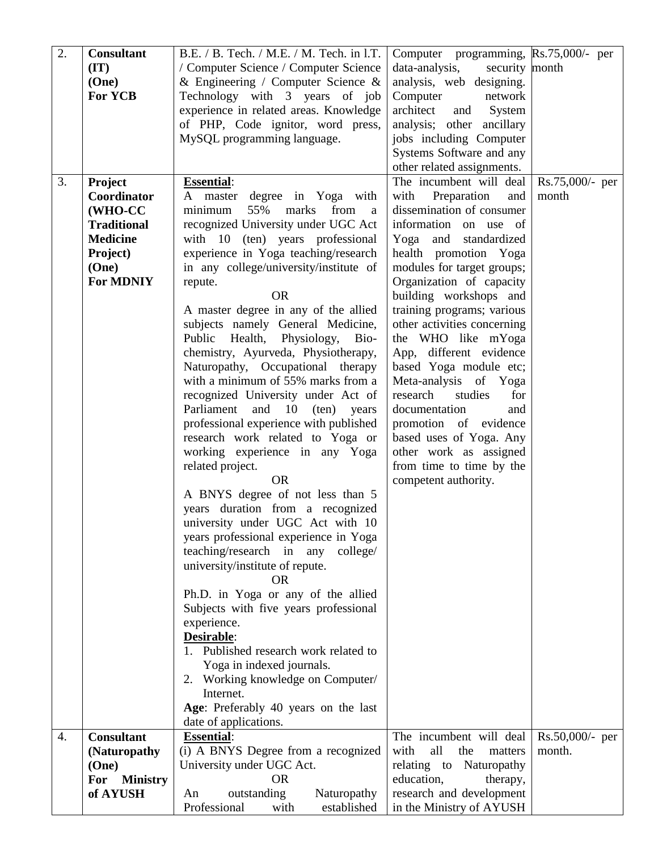| 2. | <b>Consultant</b>      | B.E. / B. Tech. / M.E. / M. Tech. in l.T. | Computer programming, Rs.75,000/- per |                   |  |
|----|------------------------|-------------------------------------------|---------------------------------------|-------------------|--|
|    | (TT)                   | / Computer Science / Computer Science     | security month<br>data-analysis,      |                   |  |
|    | (One)                  | & Engineering / Computer Science &        | analysis, web designing.              |                   |  |
|    |                        |                                           |                                       |                   |  |
|    | <b>For YCB</b>         | Technology with 3 years of job            | Computer<br>network                   |                   |  |
|    |                        | experience in related areas. Knowledge    | architect<br>and<br>System            |                   |  |
|    |                        | of PHP, Code ignitor, word press,         | analysis; other ancillary             |                   |  |
|    |                        | MySQL programming language.               | jobs including Computer               |                   |  |
|    |                        |                                           | Systems Software and any              |                   |  |
|    |                        |                                           | other related assignments.            |                   |  |
| 3. | <b>Project</b>         | <b>Essential:</b>                         | The incumbent will deal               | $Rs.75,000/-$ per |  |
|    | Coordinator            | A master degree in Yoga with              | with Preparation<br>and               | month             |  |
|    | (WHO-CC                | 55%<br>marks<br>from<br>minimum<br>a      | dissemination of consumer             |                   |  |
|    | <b>Traditional</b>     | recognized University under UGC Act       | information on use of                 |                   |  |
|    |                        |                                           |                                       |                   |  |
|    | <b>Medicine</b>        | with 10 (ten) years professional          | Yoga<br>and<br>standardized           |                   |  |
|    | Project)               | experience in Yoga teaching/research      | health promotion Yoga                 |                   |  |
|    | (One)                  | in any college/university/institute of    | modules for target groups;            |                   |  |
|    | <b>For MDNIY</b>       | repute.                                   | Organization of capacity              |                   |  |
|    |                        | <b>OR</b>                                 | building workshops and                |                   |  |
|    |                        | A master degree in any of the allied      | training programs; various            |                   |  |
|    |                        | subjects namely General Medicine,         | other activities concerning           |                   |  |
|    |                        | Public Health, Physiology,<br>Bio-        | the WHO like mYoga                    |                   |  |
|    |                        | chemistry, Ayurveda, Physiotherapy,       | App, different evidence               |                   |  |
|    |                        | Naturopathy, Occupational therapy         | based Yoga module etc;                |                   |  |
|    |                        | with a minimum of 55% marks from a        | Meta-analysis of Yoga                 |                   |  |
|    |                        | recognized University under Act of        | research<br>studies<br>for            |                   |  |
|    |                        |                                           |                                       |                   |  |
|    |                        | Parliament and 10 (ten) years             | documentation<br>and                  |                   |  |
|    |                        | professional experience with published    | promotion of evidence                 |                   |  |
|    |                        | research work related to Yoga or          | based uses of Yoga. Any               |                   |  |
|    |                        | working experience in any Yoga            | other work as assigned                |                   |  |
|    |                        | related project.                          | from time to time by the              |                   |  |
|    |                        | <b>OR</b>                                 | competent authority.                  |                   |  |
|    |                        | A BNYS degree of not less than 5          |                                       |                   |  |
|    |                        | years duration from a recognized          |                                       |                   |  |
|    |                        | university under UGC Act with 10          |                                       |                   |  |
|    |                        | years professional experience in Yoga     |                                       |                   |  |
|    |                        | teaching/research in any college/         |                                       |                   |  |
|    |                        | university/institute of repute.           |                                       |                   |  |
|    |                        | <b>OR</b>                                 |                                       |                   |  |
|    |                        | Ph.D. in Yoga or any of the allied        |                                       |                   |  |
|    |                        |                                           |                                       |                   |  |
|    |                        | Subjects with five years professional     |                                       |                   |  |
|    |                        | experience.                               |                                       |                   |  |
|    |                        | Desirable:                                |                                       |                   |  |
|    |                        | 1. Published research work related to     |                                       |                   |  |
|    |                        | Yoga in indexed journals.                 |                                       |                   |  |
|    |                        | 2. Working knowledge on Computer/         |                                       |                   |  |
|    |                        | Internet.                                 |                                       |                   |  |
|    |                        | Age: Preferably 40 years on the last      |                                       |                   |  |
|    |                        | date of applications.                     |                                       |                   |  |
| 4. | <b>Consultant</b>      | <b>Essential:</b>                         | The incumbent will deal               | $Rs.50,000/-$ per |  |
|    | (Naturopathy           | (i) A BNYS Degree from a recognized       | all<br>with<br>the<br>matters         | month.            |  |
|    | (One)                  | University under UGC Act.                 | relating to<br>Naturopathy            |                   |  |
|    | <b>Ministry</b><br>For | <b>OR</b>                                 | education,<br>therapy,                |                   |  |
|    | of AYUSH               | Naturopathy<br>outstanding<br>An          | research and development              |                   |  |
|    |                        |                                           |                                       |                   |  |
|    |                        | Professional<br>established<br>with       | in the Ministry of AYUSH              |                   |  |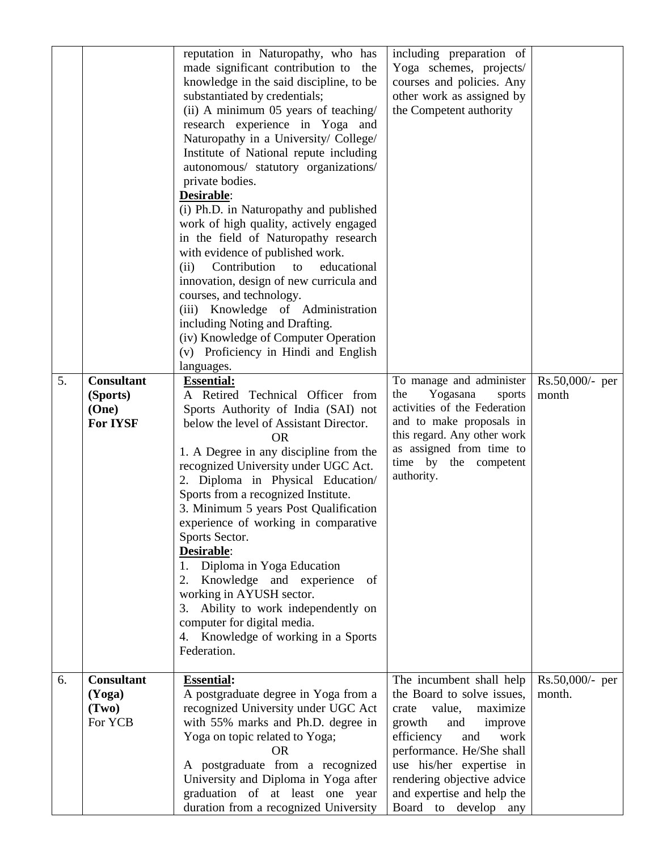| 5. | <b>Consultant</b><br>(Sports)<br>(One)<br><b>For IYSF</b> | reputation in Naturopathy, who has<br>made significant contribution to<br>the<br>knowledge in the said discipline, to be<br>substantiated by credentials;<br>(ii) A minimum 05 years of teaching/<br>research experience in Yoga and<br>Naturopathy in a University/ College/<br>Institute of National repute including<br>autonomous/ statutory organizations/<br>private bodies.<br>Desirable:<br>(i) Ph.D. in Naturopathy and published<br>work of high quality, actively engaged<br>in the field of Naturopathy research<br>with evidence of published work.<br>Contribution<br>educational<br>(ii)<br>to<br>innovation, design of new curricula and<br>courses, and technology.<br>(iii) Knowledge of Administration<br>including Noting and Drafting.<br>(iv) Knowledge of Computer Operation<br>(v) Proficiency in Hindi and English<br>languages.<br><b>Essential:</b><br>A Retired Technical Officer from<br>Sports Authority of India (SAI) not<br>below the level of Assistant Director.<br><b>OR</b><br>1. A Degree in any discipline from the<br>recognized University under UGC Act.<br>2. Diploma in Physical Education/<br>Sports from a recognized Institute.<br>3. Minimum 5 years Post Qualification<br>experience of working in comparative<br>Sports Sector.<br>Desirable:<br>1. Diploma in Yoga Education<br>Knowledge and experience of<br>2.<br>working in AYUSH sector.<br>Ability to work independently on<br>3.<br>computer for digital media.<br>4. Knowledge of working in a Sports<br>Federation. | including preparation of<br>Yoga schemes, projects/<br>courses and policies. Any<br>other work as assigned by<br>the Competent authority<br>To manage and administer<br>Yogasana<br>the<br>sports<br>activities of the Federation<br>and to make proposals in<br>this regard. Any other work<br>as assigned from time to<br>time by the competent<br>authority. | Rs.50,000/- per<br>month    |  |
|----|-----------------------------------------------------------|---------------------------------------------------------------------------------------------------------------------------------------------------------------------------------------------------------------------------------------------------------------------------------------------------------------------------------------------------------------------------------------------------------------------------------------------------------------------------------------------------------------------------------------------------------------------------------------------------------------------------------------------------------------------------------------------------------------------------------------------------------------------------------------------------------------------------------------------------------------------------------------------------------------------------------------------------------------------------------------------------------------------------------------------------------------------------------------------------------------------------------------------------------------------------------------------------------------------------------------------------------------------------------------------------------------------------------------------------------------------------------------------------------------------------------------------------------------------------------------------------------------------------------|-----------------------------------------------------------------------------------------------------------------------------------------------------------------------------------------------------------------------------------------------------------------------------------------------------------------------------------------------------------------|-----------------------------|--|
| 6. | <b>Consultant</b><br>(Yoga)<br>(Tw0)<br>For YCB           | <b>Essential:</b><br>A postgraduate degree in Yoga from a<br>recognized University under UGC Act<br>with 55% marks and Ph.D. degree in<br>Yoga on topic related to Yoga;<br><b>OR</b><br>A postgraduate from a recognized<br>University and Diploma in Yoga after<br>graduation of at least one year<br>duration from a recognized University                                                                                                                                                                                                                                                                                                                                                                                                                                                                                                                                                                                                                                                                                                                                                                                                                                                                                                                                                                                                                                                                                                                                                                                   | The incumbent shall help<br>the Board to solve issues,<br>value,<br>maximize<br>crate<br>growth<br>improve<br>and<br>efficiency<br>work<br>and<br>performance. He/She shall<br>use his/her expertise in<br>rendering objective advice<br>and expertise and help the<br>Board to develop any                                                                     | $Rs.50,000/-$ per<br>month. |  |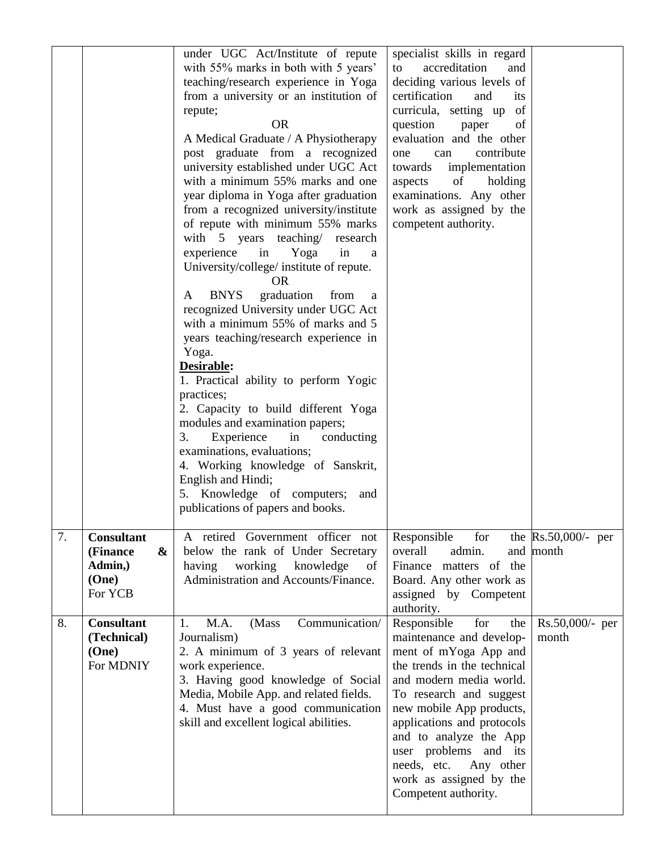|    |                                                                  | under UGC Act/Institute of repute<br>with 55% marks in both with 5 years'<br>teaching/research experience in Yoga<br>from a university or an institution of<br>repute;<br><b>OR</b><br>A Medical Graduate / A Physiotherapy<br>post graduate from a recognized<br>university established under UGC Act<br>with a minimum 55% marks and one<br>year diploma in Yoga after graduation<br>from a recognized university/institute<br>of repute with minimum 55% marks<br>with 5 years teaching research<br>experience<br>in<br>Yoga<br>in<br>a<br>University/college/ institute of repute.<br><b>OR</b><br><b>BNYS</b><br>graduation<br>from<br>A<br>a<br>recognized University under UGC Act<br>with a minimum 55% of marks and 5<br>years teaching/research experience in<br>Yoga.<br>Desirable:<br>1. Practical ability to perform Yogic<br>practices;<br>2. Capacity to build different Yoga<br>modules and examination papers;<br>Experience<br>3.<br>in<br>conducting<br>examinations, evaluations;<br>4. Working knowledge of Sanskrit,<br>English and Hindi;<br>5. Knowledge of computers;<br>and<br>publications of papers and books. | specialist skills in regard<br>accreditation<br>to<br>and<br>deciding various levels of<br>certification<br>and<br><i>its</i><br>curricula, setting up<br>of<br>question<br>of<br>paper<br>evaluation and the other<br>contribute<br>one<br>can<br>towards<br>implementation<br>aspects<br>of<br>holding<br>examinations. Any other<br>work as assigned by the<br>competent authority. |                                    |
|----|------------------------------------------------------------------|--------------------------------------------------------------------------------------------------------------------------------------------------------------------------------------------------------------------------------------------------------------------------------------------------------------------------------------------------------------------------------------------------------------------------------------------------------------------------------------------------------------------------------------------------------------------------------------------------------------------------------------------------------------------------------------------------------------------------------------------------------------------------------------------------------------------------------------------------------------------------------------------------------------------------------------------------------------------------------------------------------------------------------------------------------------------------------------------------------------------------------------------|----------------------------------------------------------------------------------------------------------------------------------------------------------------------------------------------------------------------------------------------------------------------------------------------------------------------------------------------------------------------------------------|------------------------------------|
| 7. | <b>Consultant</b><br>&<br>(Finance<br>Admin,<br>(One)<br>For YCB | A retired Government officer not<br>below the rank of Under Secretary<br>having<br>working<br>knowledge<br>of<br>Administration and Accounts/Finance.                                                                                                                                                                                                                                                                                                                                                                                                                                                                                                                                                                                                                                                                                                                                                                                                                                                                                                                                                                                      | Responsible<br>for<br>overall<br>admin.<br>Finance matters of the<br>Board. Any other work as<br>assigned by Competent<br>authority.                                                                                                                                                                                                                                                   | the $Rs.50,000/-$ per<br>and month |
| 8. | <b>Consultant</b><br>(Technical)<br>(One)<br>For MDNIY           | M.A.<br>(Mass<br>Communication/<br>1.<br>Journalism)<br>2. A minimum of 3 years of relevant<br>work experience.<br>3. Having good knowledge of Social<br>Media, Mobile App. and related fields.<br>4. Must have a good communication<br>skill and excellent logical abilities.                                                                                                                                                                                                                                                                                                                                                                                                                                                                                                                                                                                                                                                                                                                                                                                                                                                             | Responsible<br>for<br>the<br>maintenance and develop-<br>ment of mYoga App and<br>the trends in the technical<br>and modern media world.<br>To research and suggest<br>new mobile App products,<br>applications and protocols<br>and to analyze the App<br>user problems<br>and its<br>needs, etc.<br>Any other<br>work as assigned by the<br>Competent authority.                     | Rs.50,000/- per<br>month           |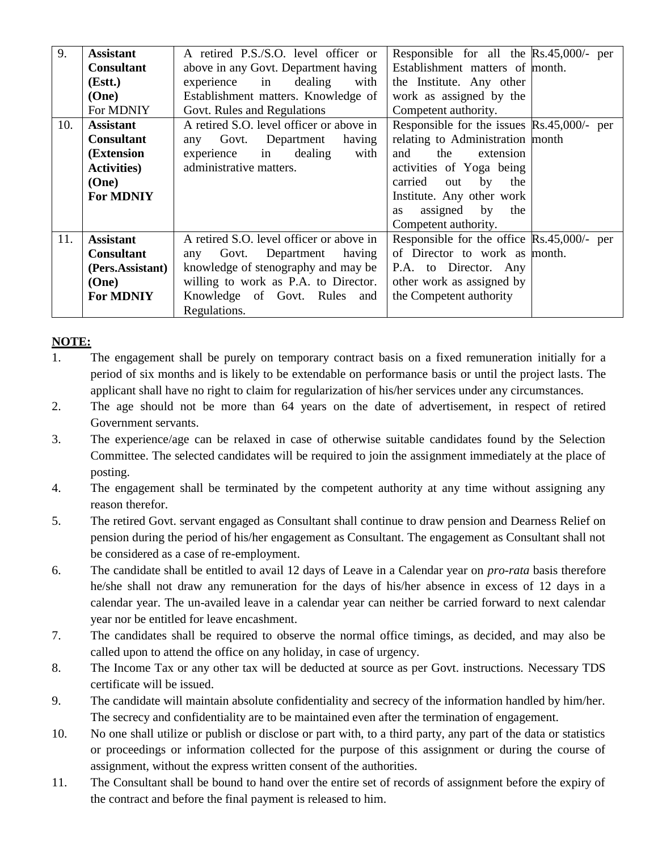| 9.  | <b>Assistant</b>    | A retired P.S./S.O. level officer or     | Responsible for all the $\text{Rs.}45,000/-$ per      |
|-----|---------------------|------------------------------------------|-------------------------------------------------------|
|     | <b>Consultant</b>   | above in any Govt. Department having     | Establishment matters of month.                       |
|     | (Estt.)             | experience in<br>dealing<br>with         | the Institute. Any other                              |
|     | (One)               | Establishment matters. Knowledge of      | work as assigned by the                               |
|     | For MDNIY           | Govt. Rules and Regulations              | Competent authority.                                  |
| 10. | <b>Assistant</b>    | A retired S.O. level officer or above in | Responsible for the issues $\mathbb{R}s.45,000/-$ per |
|     | <b>Consultant</b>   | Department<br>having<br>any Govt.        | relating to Administration month                      |
|     | (Extension          | experience in dealing<br>with            | the<br>and<br>extension                               |
|     | <b>Activities</b> ) | administrative matters.                  | activities of Yoga being                              |
|     | (One)               |                                          | carried out<br>by<br>the                              |
|     | <b>For MDNIY</b>    |                                          | Institute. Any other work                             |
|     |                     |                                          | assigned by<br>the<br>as                              |
|     |                     |                                          | Competent authority.                                  |
| 11. | <b>Assistant</b>    | A retired S.O. level officer or above in | Responsible for the office $\text{Rs.}45,000$ /- per  |
|     | <b>Consultant</b>   | Department<br>having<br>any Govt.        | of Director to work as month.                         |
|     | (Pers.Assistant)    | knowledge of stenography and may be      | P.A. to Director. Any                                 |
|     | (One)               | willing to work as P.A. to Director.     | other work as assigned by                             |
|     | <b>For MDNIY</b>    | Knowledge of Govt. Rules and             | the Competent authority                               |
|     |                     | Regulations.                             |                                                       |

## **NOTE:**

- 1. The engagement shall be purely on temporary contract basis on a fixed remuneration initially for a period of six months and is likely to be extendable on performance basis or until the project lasts. The applicant shall have no right to claim for regularization of his/her services under any circumstances.
- 2. The age should not be more than 64 years on the date of advertisement, in respect of retired Government servants.
- 3. The experience/age can be relaxed in case of otherwise suitable candidates found by the Selection Committee. The selected candidates will be required to join the assignment immediately at the place of posting.
- 4. The engagement shall be terminated by the competent authority at any time without assigning any reason therefor.
- 5. The retired Govt. servant engaged as Consultant shall continue to draw pension and Dearness Relief on pension during the period of his/her engagement as Consultant. The engagement as Consultant shall not be considered as a case of re-employment.
- 6. The candidate shall be entitled to avail 12 days of Leave in a Calendar year on *pro-rata* basis therefore he/she shall not draw any remuneration for the days of his/her absence in excess of 12 days in a calendar year. The un-availed leave in a calendar year can neither be carried forward to next calendar year nor be entitled for leave encashment.
- 7. The candidates shall be required to observe the normal office timings, as decided, and may also be called upon to attend the office on any holiday, in case of urgency.
- 8. The Income Tax or any other tax will be deducted at source as per Govt. instructions. Necessary TDS certificate will be issued.
- 9. The candidate will maintain absolute confidentiality and secrecy of the information handled by him/her. The secrecy and confidentiality are to be maintained even after the termination of engagement.
- 10. No one shall utilize or publish or disclose or part with, to a third party, any part of the data or statistics or proceedings or information collected for the purpose of this assignment or during the course of assignment, without the express written consent of the authorities.
- 11. The Consultant shall be bound to hand over the entire set of records of assignment before the expiry of the contract and before the final payment is released to him.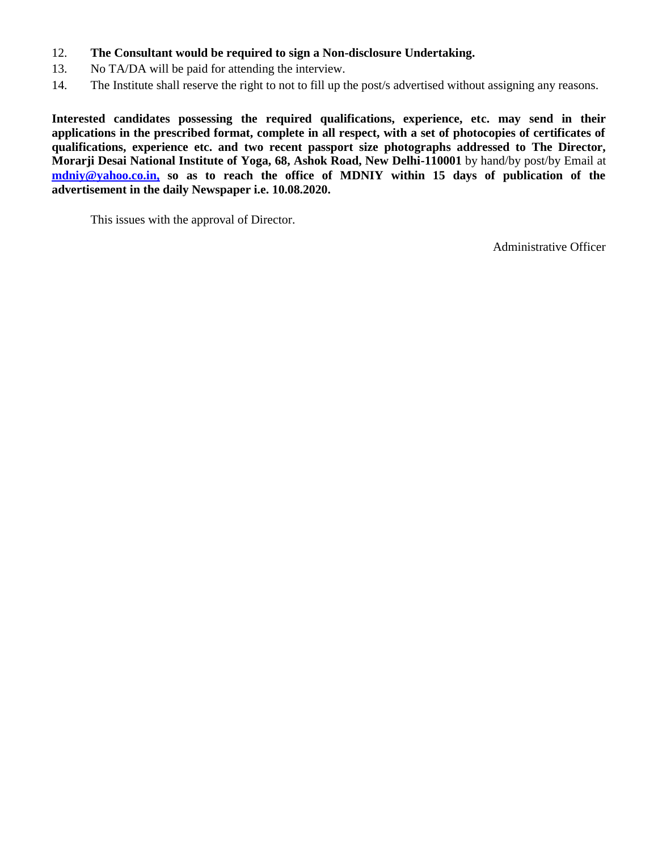- 12. **The Consultant would be required to sign a Non-disclosure Undertaking.**
- 13. No TA/DA will be paid for attending the interview.
- 14. The Institute shall reserve the right to not to fill up the post/s advertised without assigning any reasons.

**Interested candidates possessing the required qualifications, experience, etc. may send in their applications in the prescribed format, complete in all respect, with a set of photocopies of certificates of qualifications, experience etc. and two recent passport size photographs addressed to The Director, Morarji Desai National Institute of Yoga, 68, Ashok Road, New Delhi-110001** by hand/by post/by Email at **[mdniy@yahoo.co.in,](mailto:mdniy@yahoo.co.in) so as to reach the office of MDNIY within 15 days of publication of the advertisement in the daily Newspaper i.e. 10.08.2020.**

This issues with the approval of Director.

Administrative Officer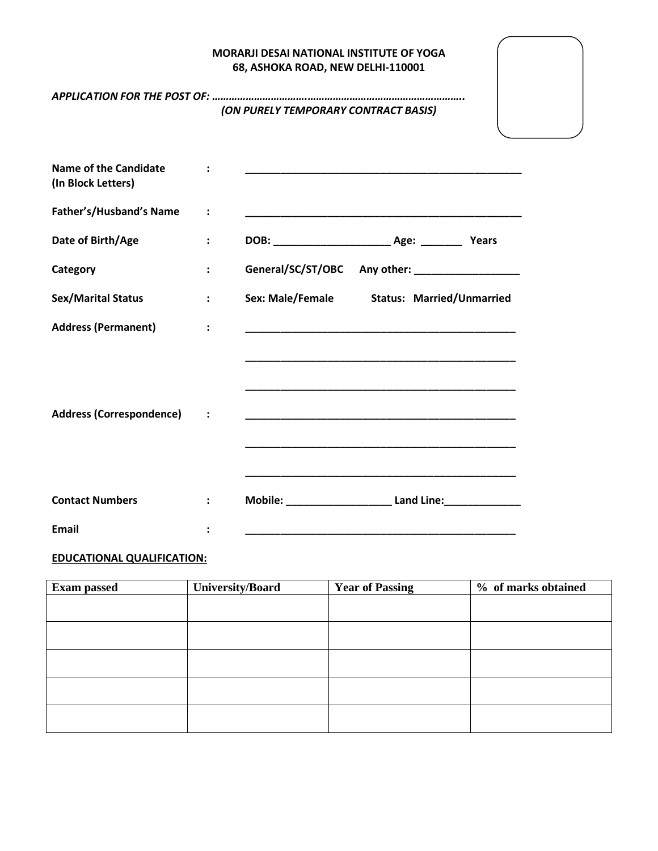### **MORARJI DESAI NATIONAL INSTITUTE OF YOGA 68, ASHOKA ROAD, NEW DELHI-110001**

|                                                    |                      | (ON PURELY TEMPORARY CONTRACT BASIS)                                                                                |
|----------------------------------------------------|----------------------|---------------------------------------------------------------------------------------------------------------------|
|                                                    |                      |                                                                                                                     |
| <b>Name of the Candidate</b><br>(In Block Letters) |                      | <u> 1989 - Johann John Stone, mars eta biztanleria (h. 1989).</u>                                                   |
| Father's/Husband's Name                            | $\ddot{\cdot}$       |                                                                                                                     |
| Date of Birth/Age                                  | $\ddot{\phantom{a}}$ |                                                                                                                     |
| Category                                           | $\ddot{\phantom{a}}$ | General/SC/ST/OBC Any other: __________________                                                                     |
| <b>Sex/Marital Status</b>                          | $\ddot{\phantom{a}}$ | Sex: Male/Female Status: Married/Unmarried                                                                          |
| <b>Address (Permanent)</b>                         | $\ddot{\cdot}$       | <u> 1989 - Johann John Stoff, deutscher Stoffen und der Stoffen und der Stoffen und der Stoffen und der Stoffen</u> |
|                                                    |                      |                                                                                                                     |
|                                                    |                      |                                                                                                                     |
| <b>Address (Correspondence)</b>                    |                      | <u> 1999 - Johann John Stone, mars eta biztanleria (h. 1989).</u>                                                   |
|                                                    |                      |                                                                                                                     |
|                                                    |                      |                                                                                                                     |
| <b>Contact Numbers</b>                             |                      | Mobile: Land Line:                                                                                                  |
| <b>Email</b>                                       |                      |                                                                                                                     |

## **EDUCATIONAL QUALIFICATION:**

| <b>Exam passed</b> | University/Board | <b>Year of Passing</b> | % of marks obtained |
|--------------------|------------------|------------------------|---------------------|
|                    |                  |                        |                     |
|                    |                  |                        |                     |
|                    |                  |                        |                     |
|                    |                  |                        |                     |
|                    |                  |                        |                     |
|                    |                  |                        |                     |
|                    |                  |                        |                     |
|                    |                  |                        |                     |
|                    |                  |                        |                     |
|                    |                  |                        |                     |